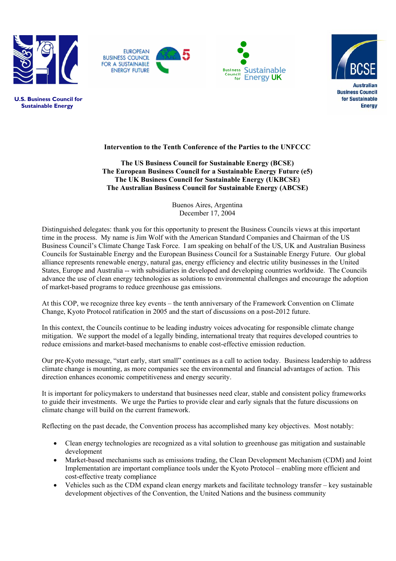







 **U.S. Business Council for Sustainable Energy**

## **Intervention to the Tenth Conference of the Parties to the UNFCCC**

**The US Business Council for Sustainable Energy (BCSE) The European Business Council for a Sustainable Energy Future (e5) The UK Business Council for Sustainable Energy (UKBCSE) The Australian Business Council for Sustainable Energy (ABCSE)**

> Buenos Aires, Argentina December 17, 2004

Distinguished delegates: thank you for this opportunity to present the Business Councils views at this important time in the process. My name is Jim Wolf with the American Standard Companies and Chairman of the US Business Council's Climate Change Task Force. I am speaking on behalf of the US, UK and Australian Business Councils for Sustainable Energy and the European Business Council for a Sustainable Energy Future. Our global alliance represents renewable energy, natural gas, energy efficiency and electric utility businesses in the United States, Europe and Australia -- with subsidiaries in developed and developing countries worldwide. The Councils advance the use of clean energy technologies as solutions to environmental challenges and encourage the adoption of market-based programs to reduce greenhouse gas emissions.

At this COP, we recognize three key events – the tenth anniversary of the Framework Convention on Climate Change, Kyoto Protocol ratification in 2005 and the start of discussions on a post-2012 future.

In this context, the Councils continue to be leading industry voices advocating for responsible climate change mitigation. We support the model of a legally binding, international treaty that requires developed countries to reduce emissions and market-based mechanisms to enable cost-effective emission reduction.

Our pre-Kyoto message, "start early, start small" continues as a call to action today. Business leadership to address climate change is mounting, as more companies see the environmental and financial advantages of action. This direction enhances economic competitiveness and energy security.

It is important for policymakers to understand that businesses need clear, stable and consistent policy frameworks to guide their investments. We urge the Parties to provide clear and early signals that the future discussions on climate change will build on the current framework.

Reflecting on the past decade, the Convention process has accomplished many key objectives. Most notably:

- Clean energy technologies are recognized as a vital solution to greenhouse gas mitigation and sustainable development
- Market-based mechanisms such as emissions trading, the Clean Development Mechanism (CDM) and Joint Implementation are important compliance tools under the Kyoto Protocol – enabling more efficient and cost-effective treaty compliance
- Vehicles such as the CDM expand clean energy markets and facilitate technology transfer key sustainable development objectives of the Convention, the United Nations and the business community